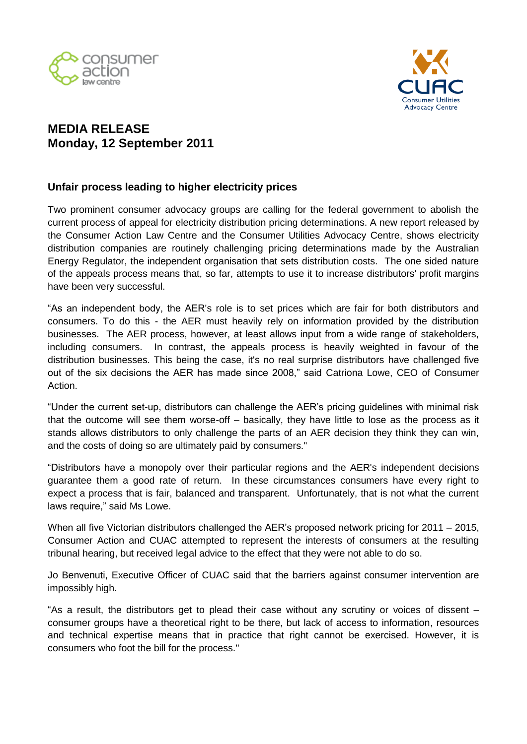



## **MEDIA RELEASE Monday, 12 September 2011**

## **Unfair process leading to higher electricity prices**

Two prominent consumer advocacy groups are calling for the federal government to abolish the current process of appeal for electricity distribution pricing determinations. A new report released by the Consumer Action Law Centre and the Consumer Utilities Advocacy Centre, shows electricity distribution companies are routinely challenging pricing determinations made by the Australian Energy Regulator, the independent organisation that sets distribution costs. The one sided nature of the appeals process means that, so far, attempts to use it to increase distributors' profit margins have been very successful.

"As an independent body, the AER's role is to set prices which are fair for both distributors and consumers. To do this - the AER must heavily rely on information provided by the distribution businesses. The AER process, however, at least allows input from a wide range of stakeholders, including consumers. In contrast, the appeals process is heavily weighted in favour of the distribution businesses. This being the case, it's no real surprise distributors have challenged five out of the six decisions the AER has made since 2008," said Catriona Lowe, CEO of Consumer Action.

"Under the current set-up, distributors can challenge the AER's pricing guidelines with minimal risk that the outcome will see them worse-off – basically, they have little to lose as the process as it stands allows distributors to only challenge the parts of an AER decision they think they can win, and the costs of doing so are ultimately paid by consumers."

"Distributors have a monopoly over their particular regions and the AER's independent decisions guarantee them a good rate of return. In these circumstances consumers have every right to expect a process that is fair, balanced and transparent. Unfortunately, that is not what the current laws require," said Ms Lowe.

When all five Victorian distributors challenged the AER's proposed network pricing for 2011 – 2015, Consumer Action and CUAC attempted to represent the interests of consumers at the resulting tribunal hearing, but received legal advice to the effect that they were not able to do so.

Jo Benvenuti, Executive Officer of CUAC said that the barriers against consumer intervention are impossibly high.

"As a result, the distributors get to plead their case without any scrutiny or voices of dissent – consumer groups have a theoretical right to be there, but lack of access to information, resources and technical expertise means that in practice that right cannot be exercised. However, it is consumers who foot the bill for the process."